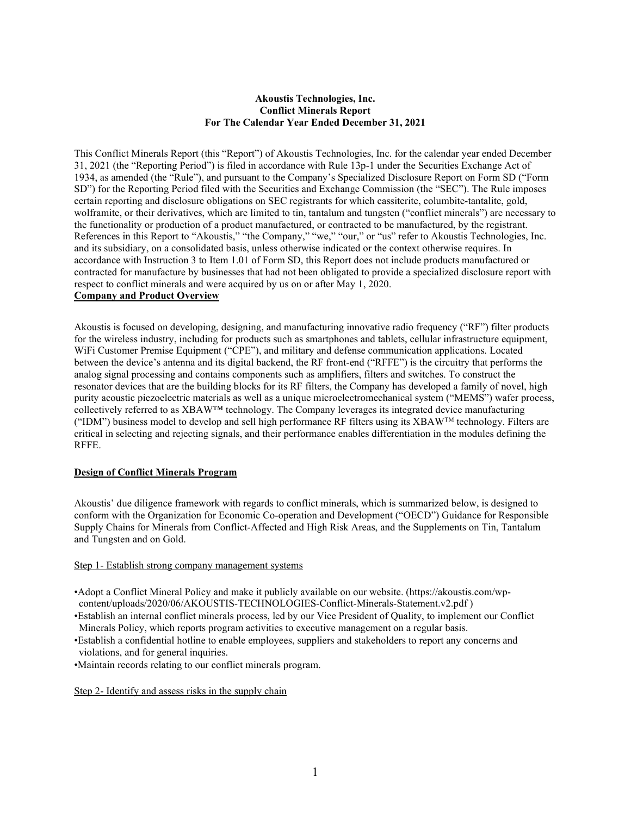### Akoustis Technologies, Inc. Conflict Minerals Report For The Calendar Year Ended December 31, 2021

This Conflict Minerals Report (this "Report") of Akoustis Technologies, Inc. for the calendar year ended December 31, 2021 (the "Reporting Period") is filed in accordance with Rule 13p-1 under the Securities Exchange Act of 1934, as amended (the "Rule"), and pursuant to the Company's Specialized Disclosure Report on Form SD ("Form SD") for the Reporting Period filed with the Securities and Exchange Commission (the "SEC"). The Rule imposes certain reporting and disclosure obligations on SEC registrants for which cassiterite, columbite-tantalite, gold, wolframite, or their derivatives, which are limited to tin, tantalum and tungsten ("conflict minerals") are necessary to the functionality or production of a product manufactured, or contracted to be manufactured, by the registrant. References in this Report to "Akoustis," "the Company," "we," "our," or "us" refer to Akoustis Technologies, Inc. and its subsidiary, on a consolidated basis, unless otherwise indicated or the context otherwise requires. In accordance with Instruction 3 to Item 1.01 of Form SD, this Report does not include products manufactured or contracted for manufacture by businesses that had not been obligated to provide a specialized disclosure report with respect to conflict minerals and were acquired by us on or after May 1, 2020. Company and Product Overview

Akoustis is focused on developing, designing, and manufacturing innovative radio frequency ("RF") filter products for the wireless industry, including for products such as smartphones and tablets, cellular infrastructure equipment, WiFi Customer Premise Equipment ("CPE"), and military and defense communication applications. Located between the device's antenna and its digital backend, the RF front-end ("RFFE") is the circuitry that performs the analog signal processing and contains components such as amplifiers, filters and switches. To construct the resonator devices that are the building blocks for its RF filters, the Company has developed a family of novel, high purity acoustic piezoelectric materials as well as a unique microelectromechanical system ("MEMS") wafer process, collectively referred to as XBAW™ technology. The Company leverages its integrated device manufacturing  $("IDM")$  business model to develop and sell high performance RF filters using its XBAW<sup>™</sup> technology. Filters are critical in selecting and rejecting signals, and their performance enables differentiation in the modules defining the RFFE.

#### Design of Conflict Minerals Program

Akoustis' due diligence framework with regards to conflict minerals, which is summarized below, is designed to conform with the Organization for Economic Co-operation and Development ("OECD") Guidance for Responsible Supply Chains for Minerals from Conflict-Affected and High Risk Areas, and the Supplements on Tin, Tantalum and Tungsten and on Gold.

#### Step 1- Establish strong company management systems

- •Adopt a Conflict Mineral Policy and make it publicly available on our website. (https://akoustis.com/wpcontent/uploads/2020/06/AKOUSTIS-TECHNOLOGIES-Conflict-Minerals-Statement.v2.pdf )
- •Establish an internal conflict minerals process, led by our Vice President of Quality, to implement our Conflict Minerals Policy, which reports program activities to executive management on a regular basis.
- •Establish a confidential hotline to enable employees, suppliers and stakeholders to report any concerns and violations, and for general inquiries.

•Maintain records relating to our conflict minerals program.

Step 2- Identify and assess risks in the supply chain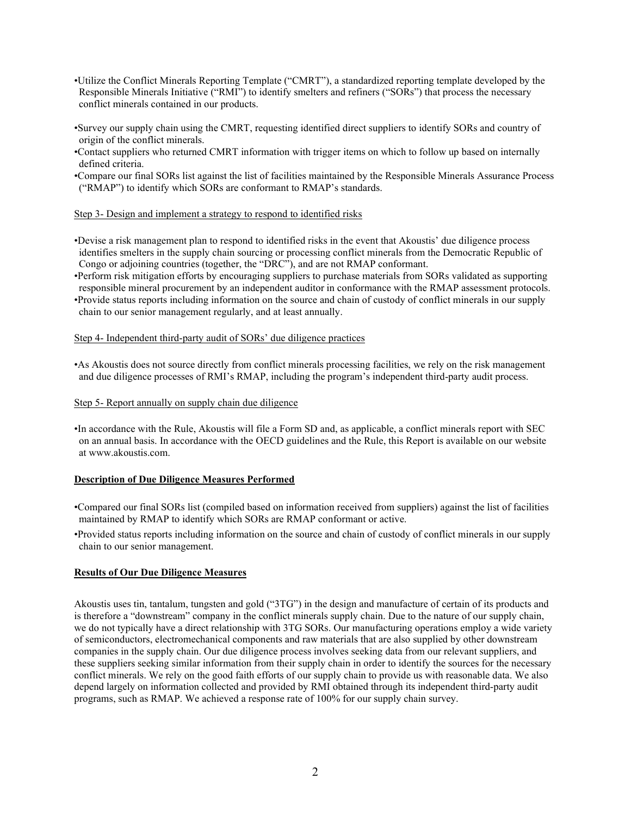- •Utilize the Conflict Minerals Reporting Template ("CMRT"), a standardized reporting template developed by the Responsible Minerals Initiative ("RMI") to identify smelters and refiners ("SORs") that process the necessary conflict minerals contained in our products.
- •Survey our supply chain using the CMRT, requesting identified direct suppliers to identify SORs and country of origin of the conflict minerals.
- •Contact suppliers who returned CMRT information with trigger items on which to follow up based on internally defined criteria.
- •Compare our final SORs list against the list of facilities maintained by the Responsible Minerals Assurance Process ("RMAP") to identify which SORs are conformant to RMAP's standards.

#### Step 3- Design and implement a strategy to respond to identified risks

- •Devise a risk management plan to respond to identified risks in the event that Akoustis' due diligence process identifies smelters in the supply chain sourcing or processing conflict minerals from the Democratic Republic of Congo or adjoining countries (together, the "DRC"), and are not RMAP conformant.
- •Perform risk mitigation efforts by encouraging suppliers to purchase materials from SORs validated as supporting responsible mineral procurement by an independent auditor in conformance with the RMAP assessment protocols. •Provide status reports including information on the source and chain of custody of conflict minerals in our supply
- chain to our senior management regularly, and at least annually.

### Step 4- Independent third-party audit of SORs' due diligence practices

•As Akoustis does not source directly from conflict minerals processing facilities, we rely on the risk management and due diligence processes of RMI's RMAP, including the program's independent third-party audit process.

#### Step 5- Report annually on supply chain due diligence

•In accordance with the Rule, Akoustis will file a Form SD and, as applicable, a conflict minerals report with SEC on an annual basis. In accordance with the OECD guidelines and the Rule, this Report is available on our website at www.akoustis.com.

#### Description of Due Diligence Measures Performed

- •Compared our final SORs list (compiled based on information received from suppliers) against the list of facilities maintained by RMAP to identify which SORs are RMAP conformant or active.
- •Provided status reports including information on the source and chain of custody of conflict minerals in our supply chain to our senior management.

## Results of Our Due Diligence Measures

Akoustis uses tin, tantalum, tungsten and gold ("3TG") in the design and manufacture of certain of its products and is therefore a "downstream" company in the conflict minerals supply chain. Due to the nature of our supply chain, we do not typically have a direct relationship with 3TG SORs. Our manufacturing operations employ a wide variety of semiconductors, electromechanical components and raw materials that are also supplied by other downstream companies in the supply chain. Our due diligence process involves seeking data from our relevant suppliers, and these suppliers seeking similar information from their supply chain in order to identify the sources for the necessary conflict minerals. We rely on the good faith efforts of our supply chain to provide us with reasonable data. We also depend largely on information collected and provided by RMI obtained through its independent third-party audit programs, such as RMAP. We achieved a response rate of 100% for our supply chain survey.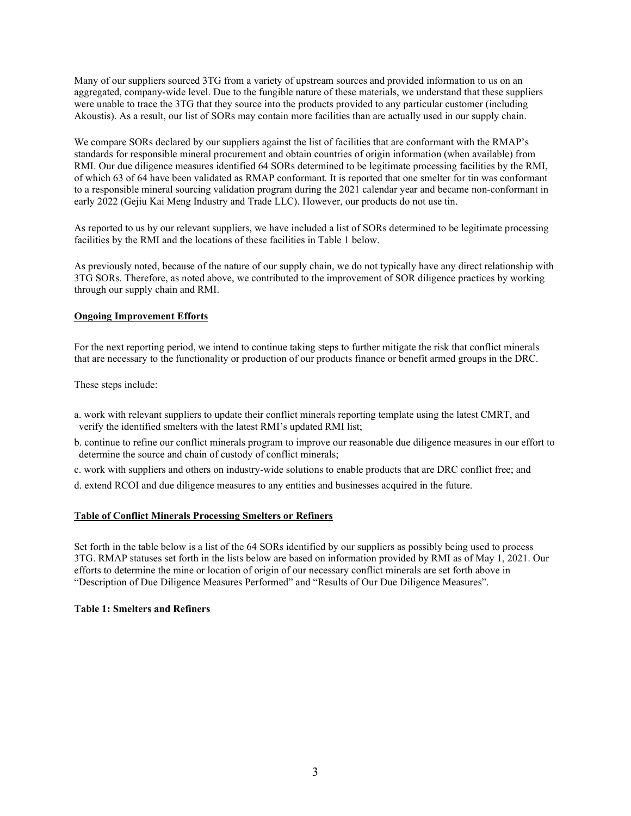Many of our suppliers sourced 3TG from a variety of upstream sources and provided information to us on an aggregated, company-wide level. Due to the fungible nature of these materials, we understand that these suppliers were unable to trace the 3TG that they source into the products provided to any particular customer (including Akoustis). As a result, our list of SORs may contain more facilities than are actually used in our supply chain.

We compare SORs declared by our suppliers against the list of facilities that are conformant with the RMAP's standards for responsible mineral procurement and obtain countries of origin information (when available) from RMI. Our due diligence measures identified 64 SORs determined to be legitimate processing facilities by the RMI, of which 63 of 64 have been validated as RMAP conformant. It is reported that one smelter for tin was conformant to a responsible mineral sourcing validation program during the 2021 calendar year and became non-conformant in early 2022 (Gejiu Kai Meng Industry and Trade LLC). However, our products do not use tin.

As reported to us by our relevant suppliers, we have included a list of SORs determined to be legitimate processing facilities by the RMI and the locations of these facilities in Table 1 below.

As previously noted, because of the nature of our supply chain, we do not typically have any direct relationship with 3TG SORs. Therefore, as noted above, we contributed to the improvement of SOR diligence practices by working through our supply chain and RMI.

### Ongoing Improvement Efforts

For the next reporting period, we intend to continue taking steps to further mitigate the risk that conflict minerals that are necessary to the functionality or production of our products finance or benefit armed groups in the DRC.

These steps include:

a. work with relevant suppliers to update their conflict minerals reporting template using the latest CMRT, and verify the identified smelters with the latest RMI's updated RMI list;

b. continue to refine our conflict minerals program to improve our reasonable due diligence measures in our effort to determine the source and chain of custody of conflict minerals;

c. work with suppliers and others on industry-wide solutions to enable products that are DRC conflict free; and

d. extend RCOI and due diligence measures to any entities and businesses acquired in the future.

# Table of Conflict Minerals Processing Smelters or Refiners

Set forth in the table below is a list of the 64 SORs identified by our suppliers as possibly being used to process 3TG. RMAP statuses set forth in the lists below are based on information provided by RMI as of May 1, 2021. Our efforts to determine the mine or location of origin of our necessary conflict minerals are set forth above in "Description of Due Diligence Measures Performed" and "Results of Our Due Diligence Measures".

#### Table 1: Smelters and Refiners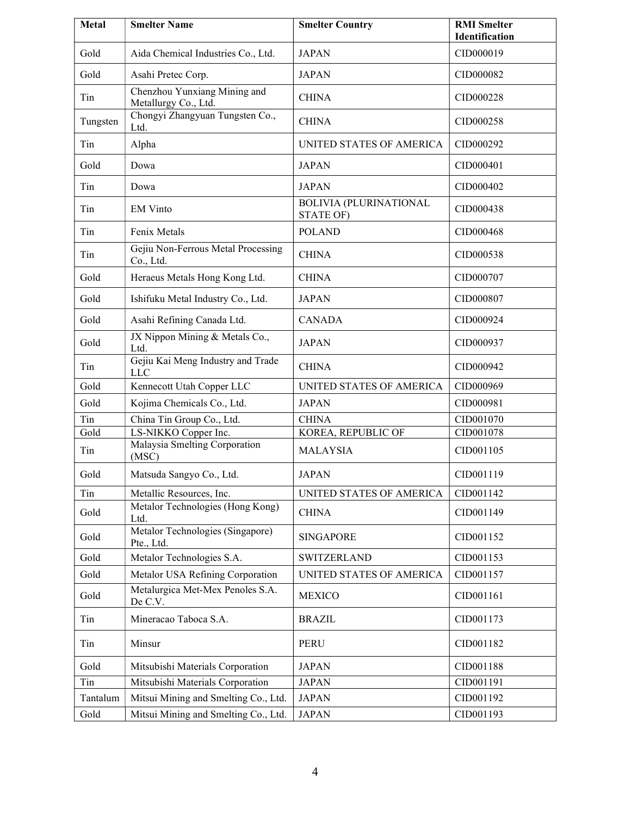| <b>Metal</b> | <b>Smelter Name</b>                                  | <b>Smelter Country</b>                     | <b>RMI</b> Smelter<br>Identification |
|--------------|------------------------------------------------------|--------------------------------------------|--------------------------------------|
| Gold         | Aida Chemical Industries Co., Ltd.                   | <b>JAPAN</b>                               | CID000019                            |
| Gold         | Asahi Pretec Corp.                                   | <b>JAPAN</b>                               | CID000082                            |
| Tin          | Chenzhou Yunxiang Mining and<br>Metallurgy Co., Ltd. | <b>CHINA</b>                               | CID000228                            |
| Tungsten     | Chongyi Zhangyuan Tungsten Co.,<br>Ltd.              | <b>CHINA</b>                               | CID000258                            |
| Tin          | Alpha                                                | UNITED STATES OF AMERICA                   | CID000292                            |
| Gold         | Dowa                                                 | <b>JAPAN</b>                               | CID000401                            |
| Tin          | Dowa                                                 | <b>JAPAN</b>                               | CID000402                            |
| Tin          | <b>EM Vinto</b>                                      | <b>BOLIVIA (PLURINATIONAL</b><br>STATE OF) | CID000438                            |
| Tin          | Fenix Metals                                         | <b>POLAND</b>                              | CID000468                            |
| Tin          | Gejiu Non-Ferrous Metal Processing<br>Co., Ltd.      | <b>CHINA</b>                               | CID000538                            |
| Gold         | Heraeus Metals Hong Kong Ltd.                        | <b>CHINA</b>                               | CID000707                            |
| Gold         | Ishifuku Metal Industry Co., Ltd.                    | <b>JAPAN</b>                               | CID000807                            |
| Gold         | Asahi Refining Canada Ltd.                           | <b>CANADA</b>                              | CID000924                            |
| Gold         | JX Nippon Mining & Metals Co.,<br>Ltd.               | <b>JAPAN</b>                               | CID000937                            |
| Tin          | Gejiu Kai Meng Industry and Trade<br><b>LLC</b>      | <b>CHINA</b>                               | CID000942                            |
| Gold         | Kennecott Utah Copper LLC                            | UNITED STATES OF AMERICA                   | CID000969                            |
| Gold         | Kojima Chemicals Co., Ltd.                           | <b>JAPAN</b>                               | CID000981                            |
| Tin          | China Tin Group Co., Ltd.                            | <b>CHINA</b>                               | CID001070                            |
| Gold         | LS-NIKKO Copper Inc.                                 | KOREA, REPUBLIC OF                         | CID001078                            |
| Tin          | Malaysia Smelting Corporation<br>(MSC)               | <b>MALAYSIA</b>                            | CID001105                            |
| Gold         | Matsuda Sangyo Co., Ltd.                             | <b>JAPAN</b>                               | CID001119                            |
| Tin          | Metallic Resources, Inc.                             | UNITED STATES OF AMERICA                   | CID001142                            |
| Gold         | Metalor Technologies (Hong Kong)<br>Ltd.             | <b>CHINA</b>                               | CID001149                            |
| Gold         | Metalor Technologies (Singapore)<br>Pte., Ltd.       | <b>SINGAPORE</b>                           | CID001152                            |
| Gold         | Metalor Technologies S.A.                            | <b>SWITZERLAND</b>                         | CID001153                            |
| Gold         | Metalor USA Refining Corporation                     | UNITED STATES OF AMERICA                   | CID001157                            |
| Gold         | Metalurgica Met-Mex Penoles S.A.<br>De C.V.          | <b>MEXICO</b>                              | CID001161                            |
| Tin          | Mineracao Taboca S.A.                                | <b>BRAZIL</b>                              | CID001173                            |
| Tin          | Minsur                                               | <b>PERU</b>                                | CID001182                            |
| Gold         | Mitsubishi Materials Corporation                     | <b>JAPAN</b>                               | CID001188                            |
| Tin          | Mitsubishi Materials Corporation                     | <b>JAPAN</b>                               | CID001191                            |
| Tantalum     | Mitsui Mining and Smelting Co., Ltd.                 | <b>JAPAN</b>                               | CID001192                            |
| Gold         | Mitsui Mining and Smelting Co., Ltd.                 | <b>JAPAN</b>                               | CID001193                            |